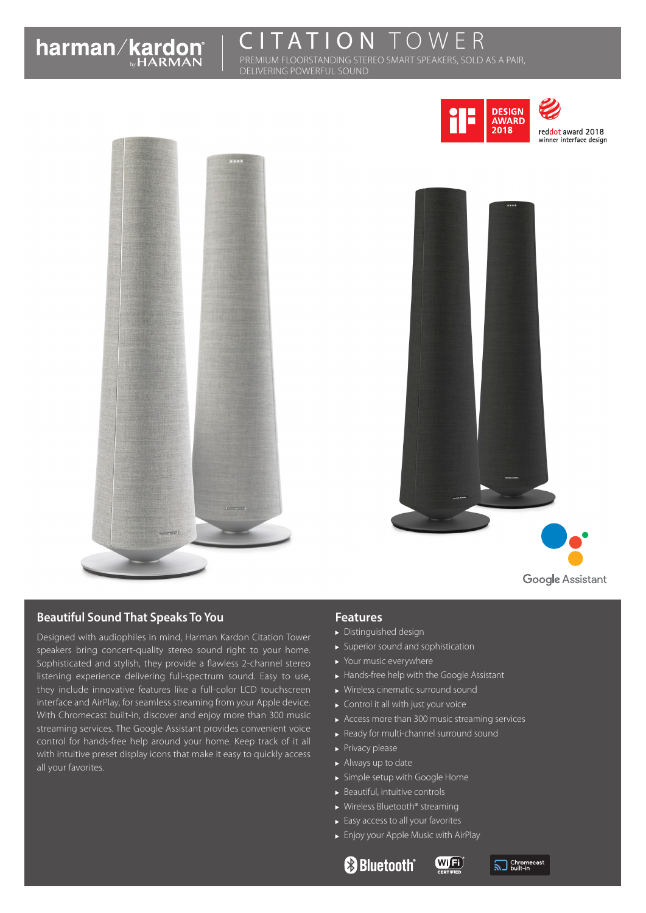# TATION TOWER

PREMIUM FLOORSTANDING STEREO SMART SPEAKERS, SOLD AS A PAIR, DELIVERING POWERFUL SOUND







# **Beautiful Sound That Speaks To You**

Designed with audiophiles in mind, Harman Kardon Citation Tower speakers bring concert-quality stereo sound right to your home. Sophisticated and stylish, they provide a flawless 2-channel stereo listening experience delivering full-spectrum sound. Easy to use, they include innovative features like a full-color LCD touchscreen interface and AirPlay, for seamless streaming from your Apple device. With Chromecast built-in, discover and enjoy more than 300 music streaming services. The Google Assistant provides convenient voice control for hands-free help around your home. Keep track of it all with intuitive preset display icons that make it easy to quickly access all your favorites.

# **Features**

- Distinguished design
- Superior sound and sophistication
- ▶ Your music everywhere
- Hands-free help with the Google Assistant
- Wireless cinematic surround sound
- ▶ Control it all with just your voice
- Access more than 300 music streaming services

(Wij<sup>Fi</sup>

- Ready for multi-channel surround sound
- Privacy please
- Always up to date
- Simple setup with Google Home
- $\blacktriangleright$  Beautiful, intuitive controls
- ▶ Wireless Bluetooth® streaming
- Easy access to all your favorites
- Enjoy your Apple Music with AirPlay
	- **& Bluetooth**®